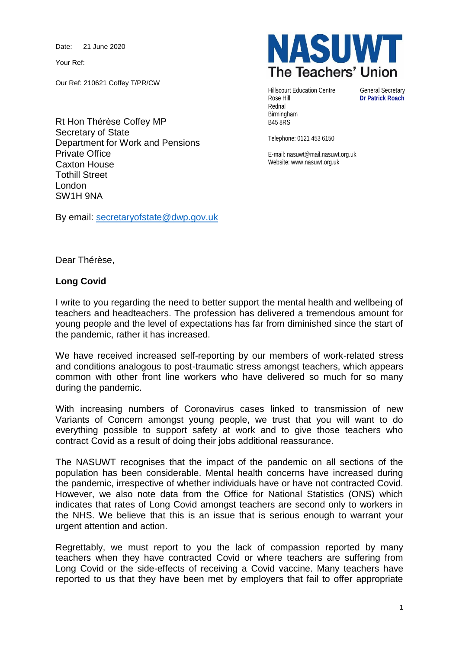Date: 21 June 2020

Your Ref:

Our Ref: 210621 Coffey T/PR/CW

Rt Hon Thérèse Coffey MP Secretary of State Department for Work and Pensions Private Office Caxton House Tothill Street London SW1H 9NA

By email: [secretaryofstate@dwp.gov.uk](mailto:secretaryofstate@dwp.gov.uk)



Hillscourt Education Centre General Secretary<br>
Rose Hill **Dr Patrick Roach** Rednal Birmingham B45 8RS

**Dr Patrick Roach** 

Telephone: 0121 453 6150

E-mail: nasuwt@mail.nasuwt.org.uk Website: www.nasuwt.org.uk

Dear Thérèse,

## **Long Covid**

I write to you regarding the need to better support the mental health and wellbeing of teachers and headteachers. The profession has delivered a tremendous amount for young people and the level of expectations has far from diminished since the start of the pandemic, rather it has increased.

We have received increased self-reporting by our members of work-related stress and conditions analogous to post-traumatic stress amongst teachers, which appears common with other front line workers who have delivered so much for so many during the pandemic.

With increasing numbers of Coronavirus cases linked to transmission of new Variants of Concern amongst young people, we trust that you will want to do everything possible to support safety at work and to give those teachers who contract Covid as a result of doing their jobs additional reassurance.

The NASUWT recognises that the impact of the pandemic on all sections of the population has been considerable. Mental health concerns have increased during the pandemic, irrespective of whether individuals have or have not contracted Covid. However, we also note data from the Office for National Statistics (ONS) which indicates that rates of Long Covid amongst teachers are second only to workers in the NHS. We believe that this is an issue that is serious enough to warrant your urgent attention and action.

Regrettably, we must report to you the lack of compassion reported by many teachers when they have contracted Covid or where teachers are suffering from Long Covid or the side-effects of receiving a Covid vaccine. Many teachers have reported to us that they have been met by employers that fail to offer appropriate